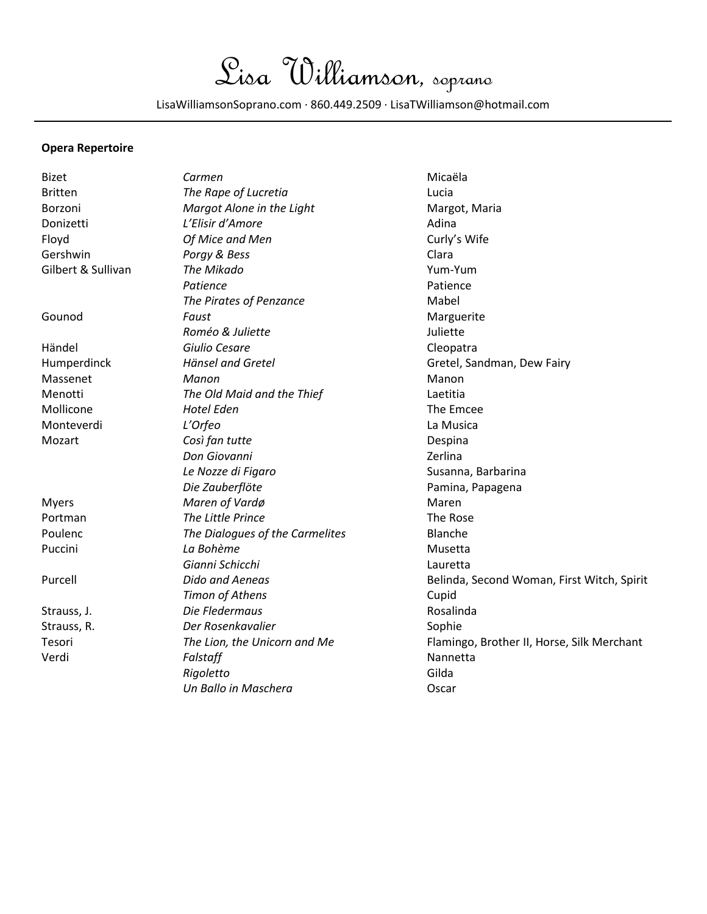Lisa Williamson, soprano

LisaWilliamsonSoprano.com ∙ 860.449.2509 ∙ LisaTWilliamson@hotmail.com

## **Opera Repertoire**

| <b>Bizet</b>       | Carmen                          | Micaëla                                    |  |
|--------------------|---------------------------------|--------------------------------------------|--|
| <b>Britten</b>     | The Rape of Lucretia            | Lucia                                      |  |
| Borzoni            | Margot Alone in the Light       | Margot, Maria                              |  |
| Donizetti          | L'Elisir d'Amore                | Adina                                      |  |
| Floyd              | Of Mice and Men                 | Curly's Wife                               |  |
| Gershwin           | Porgy & Bess                    | Clara                                      |  |
| Gilbert & Sullivan | The Mikado                      | Yum-Yum                                    |  |
|                    | Patience                        | Patience                                   |  |
|                    | The Pirates of Penzance         | Mabel                                      |  |
| Gounod             | Faust                           | Marguerite                                 |  |
|                    | Roméo & Juliette                | Juliette                                   |  |
| Händel             | Giulio Cesare                   | Cleopatra                                  |  |
| Humperdinck        | Hänsel and Gretel               | Gretel, Sandman, Dew Fairy                 |  |
| Massenet           | Manon                           | Manon                                      |  |
| Menotti            | The Old Maid and the Thief      | Laetitia                                   |  |
| Mollicone          | <b>Hotel Eden</b>               | The Emcee                                  |  |
| Monteverdi         | L'Orfeo                         | La Musica                                  |  |
| Mozart             | Così fan tutte                  | Despina                                    |  |
|                    | Don Giovanni                    | Zerlina                                    |  |
|                    | Le Nozze di Figaro              | Susanna, Barbarina                         |  |
|                    | Die Zauberflöte                 | Pamina, Papagena                           |  |
| <b>Myers</b>       | Maren of Vardø                  | Maren                                      |  |
| Portman            | The Little Prince               | The Rose                                   |  |
| Poulenc            | The Dialogues of the Carmelites | Blanche                                    |  |
| Puccini            | La Bohème                       | Musetta                                    |  |
|                    | Gianni Schicchi                 | Lauretta                                   |  |
| Purcell            | <b>Dido and Aeneas</b>          | Belinda, Second Woman, First Witch, Spirit |  |
|                    | Timon of Athens                 | Cupid                                      |  |
| Strauss, J.        | Die Fledermaus                  | Rosalinda                                  |  |
| Strauss, R.        | Der Rosenkavalier               | Sophie                                     |  |
| Tesori             | The Lion, the Unicorn and Me    | Flamingo, Brother II, Horse, Silk Merchant |  |
| Verdi              | Falstaff                        | Nannetta                                   |  |
|                    | Rigoletto                       | Gilda                                      |  |
|                    | Un Ballo in Maschera            | Oscar                                      |  |
|                    |                                 |                                            |  |